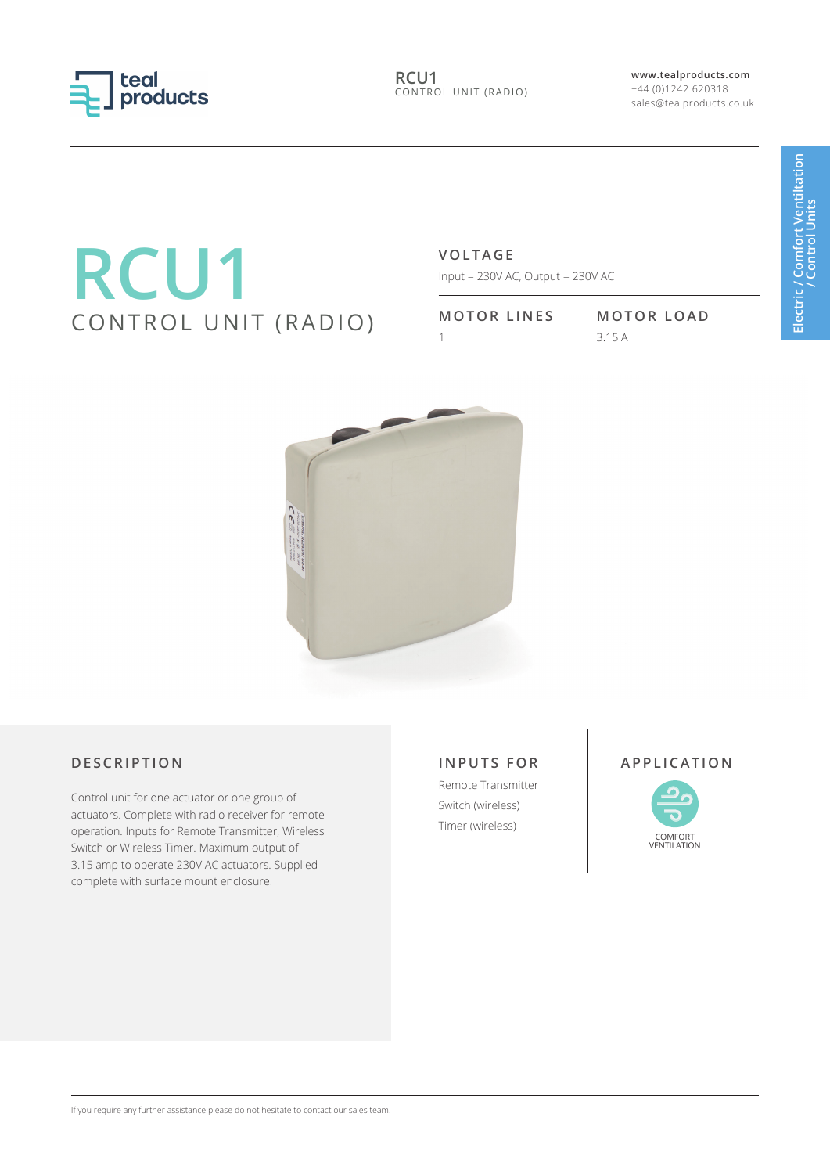

**RCU1** CONTROL UNIT (RADIO) **www.tealproducts.com** +44 (0)1242 620318 sales@tealproducts.co.uk

# **RCU1** CONTROL UNIT (RADIO)

# **VOLTAGE**

Input =  $230V$  AC, Output =  $230V$  AC

**MOTOR LINES MOTOR LOAD**

 $3.15 A$ 



Control unit for one actuator or one group of actuators. Complete with radio receiver for remote operation. Inputs for Remote Transmitter, Wireless Switch or Wireless Timer. Maximum output of 3.15 amp to operate 230V AC actuators. Supplied complete with surface mount enclosure.

# **INPUTS FOR** Remote Transmitter

Switch (wireless) Timer (wireless)

### **DESCRIPTION APPLICATION**